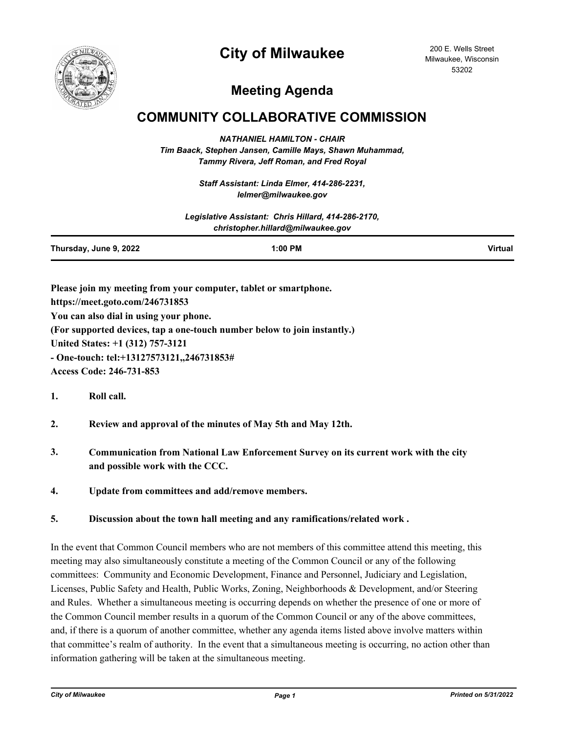## **City of Milwaukee**



200 E. Wells Street Milwaukee, Wisconsin 53202

## **Meeting Agenda**

## **COMMUNITY COLLABORATIVE COMMISSION**

*NATHANIEL HAMILTON - CHAIR Tim Baack, Stephen Jansen, Camille Mays, Shawn Muhammad, Tammy Rivera, Jeff Roman, and Fred Royal*

> *Staff Assistant: Linda Elmer, 414-286-2231, lelmer@milwaukee.gov*

|                        | Legislative Assistant: Chris Hillard, 414-286-2170,<br>christopher.hillard@milwaukee.gov |         |
|------------------------|------------------------------------------------------------------------------------------|---------|
| Thursday, June 9, 2022 | $1:00$ PM                                                                                | Virtual |

**Please join my meeting from your computer, tablet or smartphone. https://meet.goto.com/246731853 You can also dial in using your phone. (For supported devices, tap a one-touch number below to join instantly.) United States: +1 (312) 757-3121 - One-touch: tel:+13127573121,,246731853#** 

**Access Code: 246-731-853**

- **1. Roll call.**
- **2. Review and approval of the minutes of May 5th and May 12th.**
- **3. Communication from National Law Enforcement Survey on its current work with the city and possible work with the CCC.**
- **4. Update from committees and add/remove members.**

**5. Discussion about the town hall meeting and any ramifications/related work .**

In the event that Common Council members who are not members of this committee attend this meeting, this meeting may also simultaneously constitute a meeting of the Common Council or any of the following committees: Community and Economic Development, Finance and Personnel, Judiciary and Legislation, Licenses, Public Safety and Health, Public Works, Zoning, Neighborhoods & Development, and/or Steering and Rules. Whether a simultaneous meeting is occurring depends on whether the presence of one or more of the Common Council member results in a quorum of the Common Council or any of the above committees, and, if there is a quorum of another committee, whether any agenda items listed above involve matters within that committee's realm of authority. In the event that a simultaneous meeting is occurring, no action other than information gathering will be taken at the simultaneous meeting.